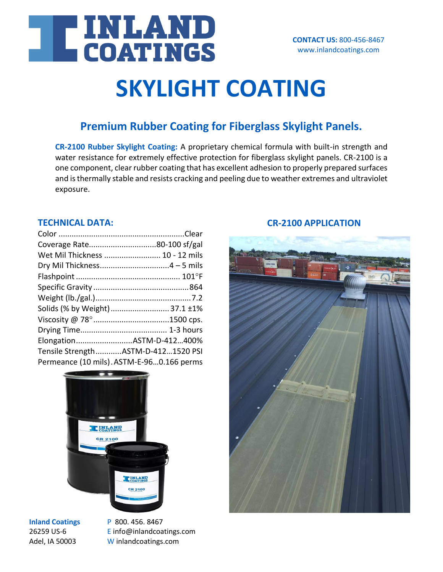

## **SKYLIGHT COATING**

### **Premium Rubber Coating for Fiberglass Skylight Panels.**

**CR-2100 Rubber Skylight Coating:** A proprietary chemical formula with built-in strength and water resistance for extremely effective protection for fiberglass skylight panels. CR-2100 is a one component, clear rubber coating that has excellent adhesion to properly prepared surfaces and is thermally stable and resists cracking and peeling due to weather extremes and ultraviolet exposure.

#### **TECHNICAL DATA:**

| Coverage Rate80-100 sf/gal                |  |
|-------------------------------------------|--|
| Wet Mil Thickness  10 - 12 mils           |  |
|                                           |  |
|                                           |  |
|                                           |  |
|                                           |  |
| Solids (% by Weight) 37.1 ±1%             |  |
|                                           |  |
|                                           |  |
| ElongationASTM-D-412400%                  |  |
| Tensile StrengthASTM-D-4121520 PSI        |  |
| Permeance (10 mils). ASTM-E-960.166 perms |  |



**Inland Coatings** P 800. 456. 8467

26259 US-6 **E** info@inlandcoatings.com Adel, IA 50003 W inlandcoatings.com

#### **CR-2100 APPLICATION**